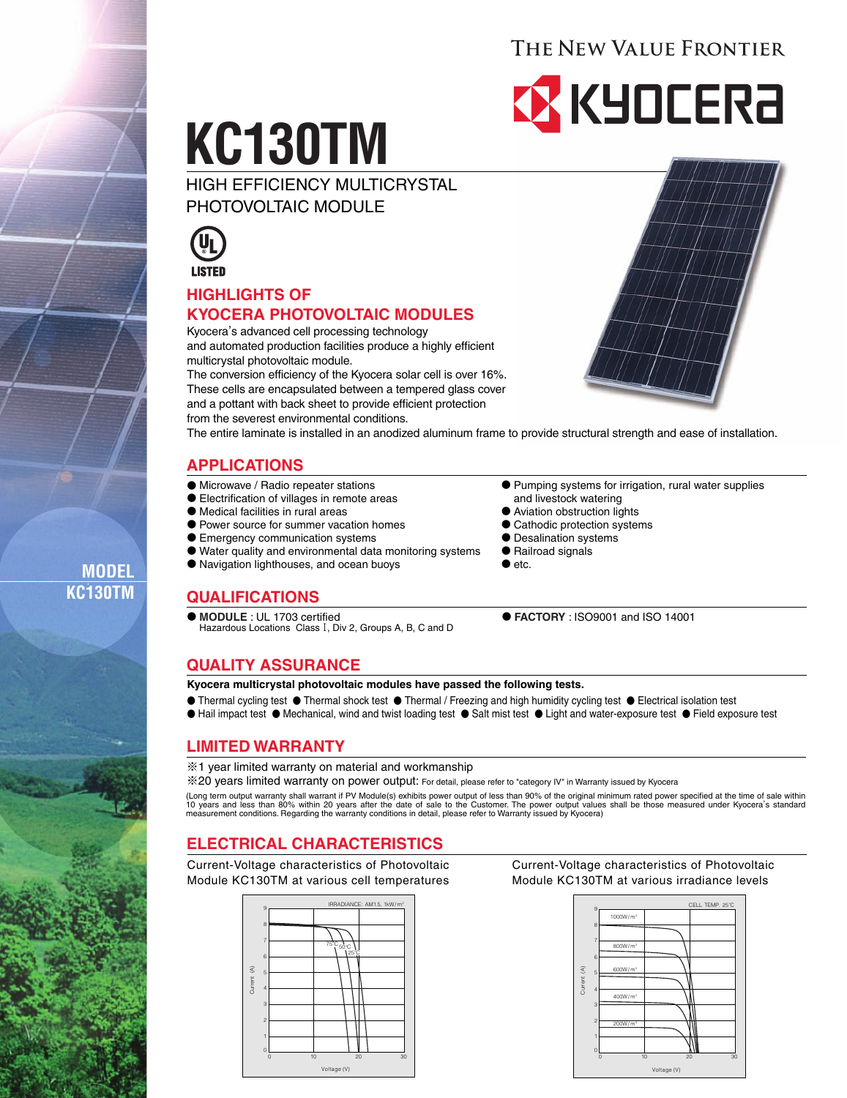# THE NEW VALUE FRONTIER

# **EX KYOCERA**

# **KC130TM**

HIGH EFFICIENCY MULTICRYSTAL PHOTOVOLTAIC MODULE



# **HIGHLIGHTS OF KYOCERA PHOTOVOLTAIC MODULES**

Kyocera, s advanced cell processing technology and automated production facilities produce a highly efficient multicrystal photovoltaic module.

The conversion efficiency of the Kyocera solar cell is over 16%. These cells are encapsulated between a tempered glass cover and a pottant with back sheet to provide efficient protection from the severest environmental conditions.



The entire laminate is installed in an anodized aluminum frame to provide structural strength and ease of installation.

# **APPLICATIONS**

- Microwave / Radio repeater stations
- Electrification of villages in remote areas
- Medical facilities in rural areas
- Power source for summer vacation homes
- Emergency communication systems
- Water quality and environmental data monitoring systems
- Navigation lighthouses, and ocean buoys
- **QUALIFICATIONS**
- **MODULE** : UL 1703 certified Hazardous Locations Class I, Div 2, Groups A, B, C and D
- Pumping systems for irrigation, rural water supplies and livestock watering
- Aviation obstruction lights
- Cathodic protection systems
- Desalination systems
- Railroad signals
- $\bullet$  etc.

● **FACTORY** : ISO9001 and ISO 14001

## **QUALITY ASSURANCE**

#### **Kyocera multicrystal photovoltaic modules have passed the following tests.**

- Thermal cycling test Thermal shock test Thermal / Freezing and high humidity cycling test Electrical isolation test
- Hail impact test Mechanical, wind and twist loading test Salt mist test Light and water-exposure test Field exposure test

#### **LIMITED WARRANTY**

※1 year limited warranty on material and workmanship

※20 years limited warranty on power output: For detail, please refer to "category IV" in Warranty issued by Kyocera

(Long term output warranty shall warrant if PV Module(s) exhibits power output of less than 90% of the original minimum rated power specified at the time of sale within<br>10 years and less than 80% within 20 years after the

## **ELECTRICAL CHARACTERISTICS**

Current-Voltage characteristics of Photovoltaic Module KC130TM at various cell temperatures



Current-Voltage characteristics of Photovoltaic Module KC130TM at various irradiance levels



**MODEL KC130TM**